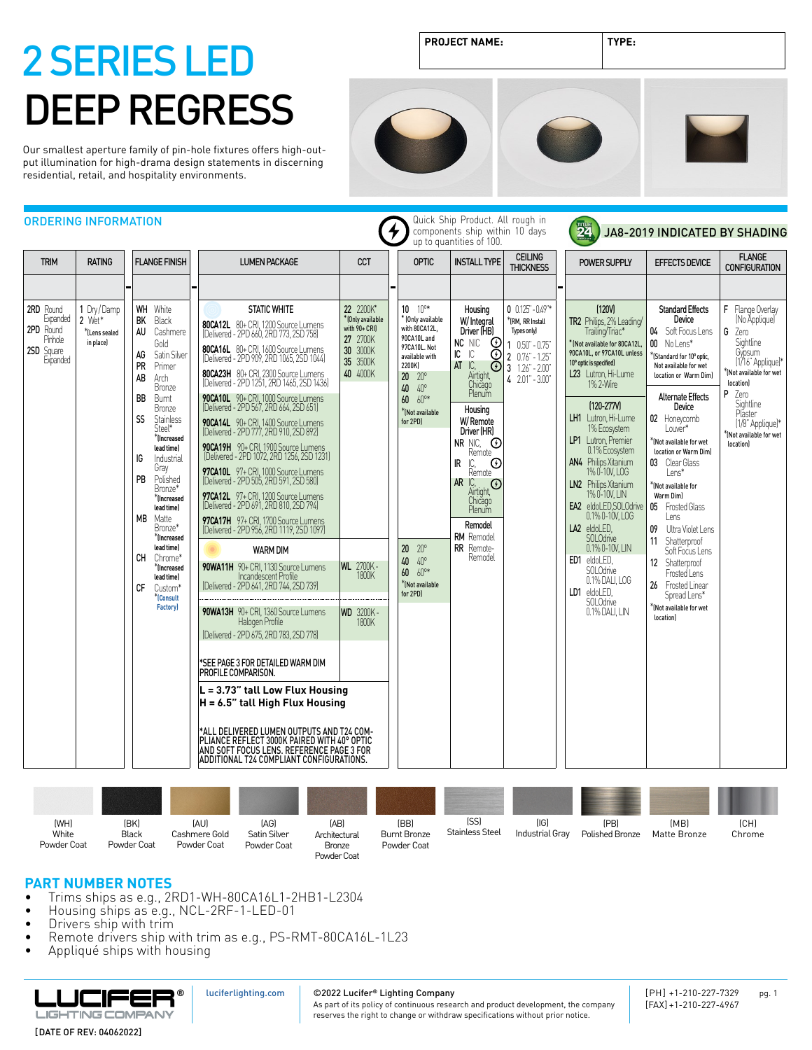Our smallest aperture family of pin-hole fixtures offers high-output illumination for high-drama design statements in discerning residential, retail, and hospitality environments.

**PROJECT NAME: TYPE:**





| <b>TRIM</b><br><b>RATING</b>                                                                                                  | <b>FLANGE FINISH</b>                                                                                                                                                                                                                                                                                                                                                                                                                                                                                           | <b>LUMEN PACKAGE</b>                                                                                                                                                                                                                                                                                                                                                                                                                                                                                                                                                                                                                                                                                                                                                                                                                                                                                                                                                                                                                                                                                                                                                                                                                                                                                                                                     | <b>CCT</b>                                                                                                                                                      | <b>OPTIC</b>                                                                                                                                                                                                                                                                                           | <b>INSTALL TYPE</b>                                                                                                                                                                                                                                                                                                                                                                        | <b>CEILING</b><br><b>THICKNESS</b>                                                                                                                    | <b>POWER SUPPLY</b>                                                                                                                                                                                                                                                                                                                                                                                                                                                                                                                                                           | <b>EFFECTS DEVICE</b>                                                                                                                                                                                                                                                                                                                                                                                                                                                                                                                                                           | <b>FLANGE</b><br><b>CONFIGURATION</b>                                                                                                                                                                                                    |
|-------------------------------------------------------------------------------------------------------------------------------|----------------------------------------------------------------------------------------------------------------------------------------------------------------------------------------------------------------------------------------------------------------------------------------------------------------------------------------------------------------------------------------------------------------------------------------------------------------------------------------------------------------|----------------------------------------------------------------------------------------------------------------------------------------------------------------------------------------------------------------------------------------------------------------------------------------------------------------------------------------------------------------------------------------------------------------------------------------------------------------------------------------------------------------------------------------------------------------------------------------------------------------------------------------------------------------------------------------------------------------------------------------------------------------------------------------------------------------------------------------------------------------------------------------------------------------------------------------------------------------------------------------------------------------------------------------------------------------------------------------------------------------------------------------------------------------------------------------------------------------------------------------------------------------------------------------------------------------------------------------------------------|-----------------------------------------------------------------------------------------------------------------------------------------------------------------|--------------------------------------------------------------------------------------------------------------------------------------------------------------------------------------------------------------------------------------------------------------------------------------------------------|--------------------------------------------------------------------------------------------------------------------------------------------------------------------------------------------------------------------------------------------------------------------------------------------------------------------------------------------------------------------------------------------|-------------------------------------------------------------------------------------------------------------------------------------------------------|-------------------------------------------------------------------------------------------------------------------------------------------------------------------------------------------------------------------------------------------------------------------------------------------------------------------------------------------------------------------------------------------------------------------------------------------------------------------------------------------------------------------------------------------------------------------------------|---------------------------------------------------------------------------------------------------------------------------------------------------------------------------------------------------------------------------------------------------------------------------------------------------------------------------------------------------------------------------------------------------------------------------------------------------------------------------------------------------------------------------------------------------------------------------------|------------------------------------------------------------------------------------------------------------------------------------------------------------------------------------------------------------------------------------------|
| 2RD Round<br>1 Dry/Damp<br>Expanded<br>2 Wet*<br>2PD Round<br>*(Lens sealed<br>Pinhole<br>in place)<br>2SD Square<br>Expanded | <b>WH</b> White<br>BK<br>Black<br><b>AU</b><br>Cashmere<br>Gold<br>Satin Silver<br>AG<br>PR<br>Primer<br>AB<br>Arch<br><b>Bronze</b><br><b>BB</b><br>Burnt<br><b>Bronze</b><br>SS<br><b>Stainless</b><br>Steel*<br><sup>*</sup> (Increased<br>lead time)<br>IG<br>Industrial<br>Gray<br>PB<br>Polished<br>Bronze*<br>*Increased<br>lead time)<br>МB<br>Matte<br>Bronze*<br>*(Increased<br>lead time)<br>CН<br>Chrome*<br>*lincreased<br>lead time)<br>СF<br>Custom*<br><sup>*</sup> [Consult<br><b>Factory</b> | <b>STATIC WHITE</b><br>80CA12L 80+ CRI, 1200 Source Lumens<br>(Delivered - 2PD 660, 2RD 773, 2SD 758)<br>80CA16L 80+ CRI, 1600 Source Lumens<br>(Delivered - 2PD 909, 2RD 1065, 2SD 1044)<br>80CA23H 80+ CRI, 2300 Source Lumens<br>(Delivered - 2PD 1251, 2RD 1465, 2SD 1436)<br>90CA10L 90+ CRI, 1000 Source Lumens<br>(Delivered - 2PD 567, 2RD 664, 2SD 651)<br>90CA14L 90+ CRI, 1400 Source Lumens<br>(Delivered - 2PD 777, 2RD 910, 2SD 892)<br>90CA19H 90+ CRI, 1900 Source Lumens<br>(Delivered - 2PD 1072, 2RD 1256, 2SD 1231)<br>97CA10L 97+ CRI, 1000 Source Lumens<br>(Delivered - 2PD 505, 2RD 591, 2SD 580)<br>97CA12L 97+ CRI, 1200 Source Lumens<br>(Delivered - 2PD 691, 2RD 810, 2SD 794)<br>97CA17H 97+ CRI, 1700 Source Lumens<br>(Delivered - 2PD 956, 2RD 1119, 2SD 1097)<br><b>WARM DIM</b><br>90WA11H 90+ CRI. 1130 Source Lumens<br>Incandescent Profile<br>(Delivered - 2PD 641, 2RD 744, 2SD 739)<br>90WA13H 90+ CRI, 1360 Source Lumens<br>Halogen Profile<br>(Delivered - 2PD 675, 2RD 783, 2SD 778)<br>*SEE PAGE 3 FOR DETAILED WARM DIM<br>PROFILE COMPARISON.<br>L = 3.73" tall Low Flux Housing<br>H = 6.5" tall High Flux Housing<br>*ALL DELIVERED LUMEN OUTPUTS AND T24 COM-<br>PLIANCE REFLECT 3000K PAIRED WITH 40° OPTIC<br>AND SOFT FOCUS LENS. REFERENCE PAGE 3 FOR<br>ADDITIONAL T24 COMPLIANT CONFIGURATIONS. | 22 2200K*<br>*(Only available<br>with 90+ CRI)<br>27 2700K<br>30 3000K<br>35 3500K<br>40 4000K<br><b>WL</b> 2700K-<br><b>1800K</b><br><b>WD 3200K-</b><br>1800K | $10 \t10$ <sup>o*</sup><br>* (Only available<br>with 80CA12L,<br>90CA10L and<br>97CA10L. Not<br>available with<br>2200K)<br>$20 \t20$ °<br>40 40°<br>$60.60^{\circ*}$<br>*(Not available<br>for 2PD)<br>$20^{\circ}$<br>20<br>$40^{\circ}$<br>40<br>$60^{\circ*}$<br>60<br>*(Not available<br>for 2PD) | Housing<br>W/Integral<br>Driver (HB)<br>NC NIC<br>$\odot$<br>$\mathsf{IC}$<br>⊛<br>IC.<br>IC<br>AT<br>$\odot$<br>Airtight,<br>Chicago<br>Plenum<br>Housing<br>W/Remote<br>Driver (HR)<br>NR NIC, $\odot$<br>Remote<br>IC,<br>IR<br>$_{\odot}$<br>Remote<br>AR IC,<br>$_{\cdot }$ $\odot$<br>Airtight,<br>Chicago<br>Plenum<br>Remodel<br><b>RM</b> Remodel<br><b>RR</b> Remote-<br>Remodel | $0$ $0.125 - 0.49$ <sup>**</sup><br>*(RM, RR Install<br>Types only)<br>$10.50 - 0.75$<br>$20.76 - 1.25$<br>$3 \t1.26" - 2.00$<br>$4$ $2.01$ " - 3.00" | (120V)<br>TR2 Philips, 2% Leading/<br>Trailing/Triac*<br>KNot available for 80CA12L.<br>90CA10L, or 97CA10L unless<br>10° optic is specified)<br>L23 Lutron, Hi-Lume<br>1% 2-Wire<br>$(120 - 277V)$<br>LH1 Lutron, Hi-Lume<br>1% Ecosystem<br><b>LP1</b> Lutron, Premier<br>0.1% Ecosystem<br>AN4 Philips Xitanium<br>1% 0-10V, LOG<br>LN2 Philips Xitanium<br>1% 0-10V, LIN<br>EA2 eldoLED,SOLOdrive<br>0.1% 0-10V, LOG<br>LA2 eldoLED.<br><b>SOLOdrive</b><br>0.1% 0-10V. LIN<br>ED1 eldoLED.<br>SOLOdrive<br>0.1% DALI, LOG<br>LD1 eldoLED.<br>SOLOdrive<br>0.1% DALI. LIN | <b>Standard Effects</b><br>Device<br>04 Soft Focus Lens<br>00 Nolens*<br>Standard for 10° optic<br>Not available for wet<br>location or Warm Diml<br><b>Alternate Effects</b><br>Device<br>02 Honeycomb<br>Louver*<br>*(Not available for wet<br>location or Warm Diml<br>03 Clear Glass<br>$Lens^*$<br>*Mot available for<br>Warm Dim)<br>05 <sub>1</sub><br><b>Frosted Glass</b><br>l ens<br>Ultra Violet Lens<br>09<br>Shatterproof<br>11<br>Soft Focus Lens<br>12 Shatterproof<br>Frosted Lens<br>26 Frosted Linear<br>Spread Lens*<br>*(Not available for wet<br>location) | F Flange Overlay<br>(No Applique)<br>G Zero<br>Sightline<br>Gypsum<br>[1/16" Applique)*<br>KNot available for wet<br><i>location]</i><br>P Zero<br>Sightline<br>Plaster<br>[1/8" Applique]*<br>Not available for wet<br><i>location]</i> |

| [WH]<br>White<br>Powder Coat | (BK)<br><b>Black</b><br>Powder Coat | [AU]<br>Cashmere Gold<br>Powder Coat | (AG)<br>Satin Silver<br>Powder Coat | (AB)<br>Architectural<br>Bronze<br>Powder Coat | (BB)<br><b>Burnt Bronze</b><br>Powder Coat | [SS]<br><b>Stainless Steel</b> | (IG)<br>Industrial Grav | (PB)<br>Polished Bronze | (MB)<br>Matte Bronze | [CH]<br>Chrome |
|------------------------------|-------------------------------------|--------------------------------------|-------------------------------------|------------------------------------------------|--------------------------------------------|--------------------------------|-------------------------|-------------------------|----------------------|----------------|

## **PART NUMBER NOTES**

- Trims ships as e.g., 2RD1-WH-80CA16L1-2HB1-L2304
- Housing ships as  $e.g., \text{ NCL-2RF-1-LED-01}$ <br>• Drivers ship with trim
- Drivers ship with trim
- Remote drivers ship with trim as e.g., PS-RMT-80CA16L-1L23
- Appliqué ships with housing



©2022 Lucifer**®** Lighting Company [luciferlighting.com](http://luciferlighting.com/)

As part of its policy of continuous research and product development, the company reserves the right to change or withdraw specifications without prior notice.

[DATE OF REV: 04062022]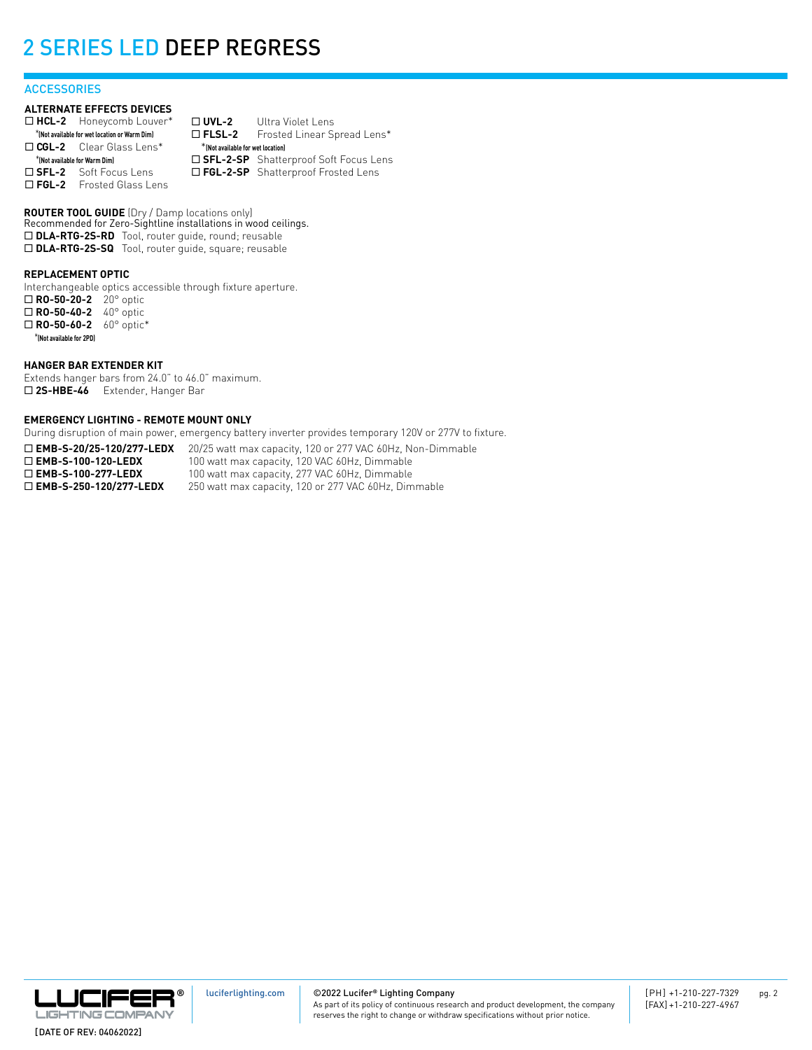### **ACCESSORIES**

### **ALTERNATE EFFECTS DEVICES**

| $\Box$ HCL-2 Honeycomb Louver*                | $\Box$ UVL-2                       | Ultra Violet Lens                       |
|-----------------------------------------------|------------------------------------|-----------------------------------------|
| *(Not available for wet location or Warm Dim) | $\square$ FLSL-2                   | Frosted Linear Spread Lens*             |
| $\Box$ CGL-2 Clear Glass Lens*                | * (Not available for wet location) |                                         |
| *(Not available for Warm Dim)                 |                                    | □ SFL-2-SP Shatterproof Soft Focus Lens |
| $\square$ SFL-2 Soft Focus Lens               |                                    | □ FGL-2-SP Shatterproof Frosted Lens    |
| $\Box$ FGL-2 Frosted Glass Lens               |                                    |                                         |

**ROUTER TOOL GUIDE** (Dry / Damp locations only) Recommended for Zero-Sightline installations in wood ceilings. □ DLA-RTG-2S-RD Tool, router guide, round; reusable □ DLA-RTG-2S-SQ Tool, router guide, square; reusable

### **REPLACEMENT OPTIC**

Interchangeable optics accessible through fixture aperture. ¨ **RO-50-20-2** 20° optic □ **RO-50-40-2** 40° optic □ **RO-50-60-2** 60° optic\* \***(Not available for 2PD)**

### **HANGER BAR EXTENDER KIT**

Extends hanger bars from 24.0" to 46.0" maximum. □ 2S-HBE-46 Extender, Hanger Bar

### **EMERGENCY LIGHTING - REMOTE MOUNT ONLY**

During disruption of main power, emergency battery inverter provides temporary 120V or 277V to fixture.

□ **EMB-S-20/25-120/277-LEDX** 20/25 watt max capacity, 120 or 277 VAC 60Hz, Non-Dimmable **□ EMB-S-100-120-LEDX** 100 watt max capacity, 120 VAC 60Hz, Dimmable<br>□ **EMB-S-100-277-LEDX** 100 watt max capacity, 277 VAC 60Hz, Dimmable 100 watt max capacity, 277 VAC 60Hz, Dimmable □ **EMB-S-250-120/277-LEDX** 250 watt max capacity, 120 or 277 VAC 60Hz, Dimmable

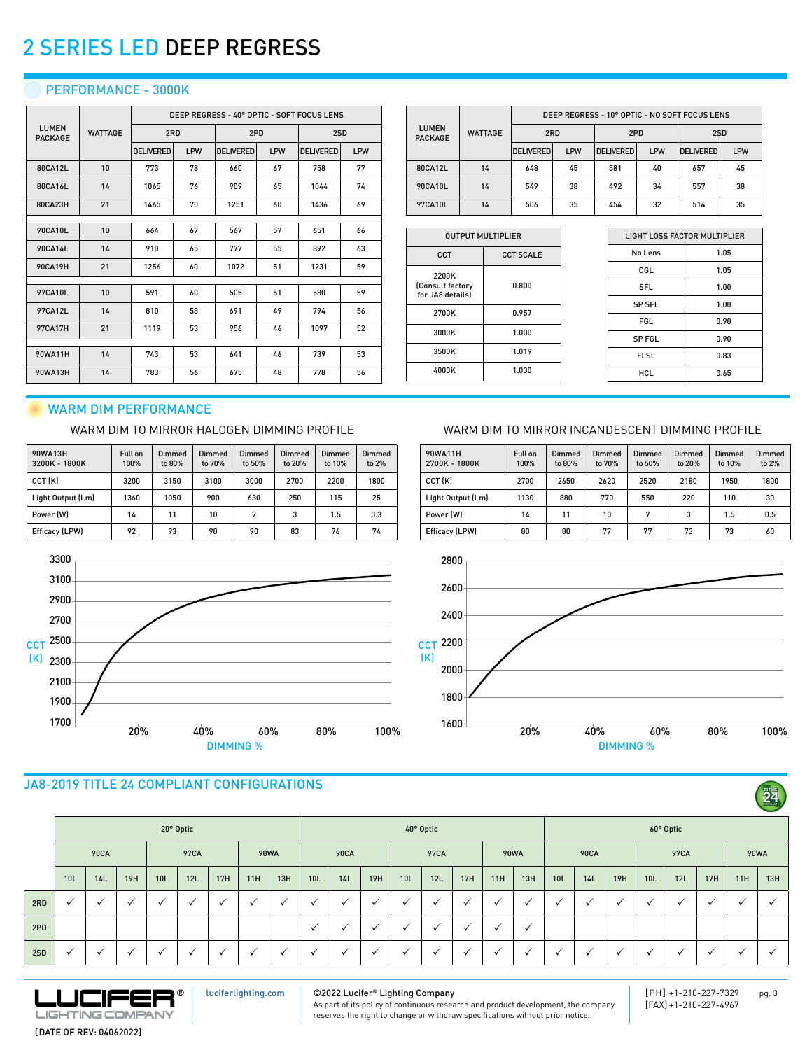### **PERFORMANCE - 3000K**

|                                |                |                  |     |                  |     | DEEP REGRESS - 40° OPTIC - SOFT FOCUS LENS |     |  |
|--------------------------------|----------------|------------------|-----|------------------|-----|--------------------------------------------|-----|--|
| <b>LUMEN</b><br><b>PACKAGE</b> | <b>WATTAGE</b> | 2RD              |     | 2PD              |     | 2SD                                        |     |  |
|                                |                | <b>DELIVERED</b> | LPW | <b>DELIVERED</b> | LPW | <b>DELIVERED</b>                           | LPW |  |
| 80CA12L                        | 10             | 773              | 78  | 660              | 67  | 758                                        | 77  |  |
| 80CA16L                        | 14             | 1065             | 76  | 909              | 65  | 1044                                       | 74  |  |
| 80CA23H                        | 21             | 1465             | 70  | 1251             | 60  | 1436                                       | 69  |  |
|                                |                |                  |     |                  |     |                                            |     |  |
| 90CA10L                        | 10             | 664              | 67  | 567              | 57  | 651                                        | 66  |  |
| 90CA14L                        | 14             | 910              | 65  | 777              | 55  | 892                                        | 63  |  |
| 90CA19H                        | 21             | 1256             | 60  | 1072             | 51  | 1231                                       | 59  |  |
|                                |                |                  |     |                  |     |                                            |     |  |
| 97CA10L                        | 10             | 591              | 60  | 505              | 51  | 580                                        | 59  |  |
| 97CA12L                        | 14             | 810              | 58  | 691              | 49  | 794                                        | 56  |  |
| <b>97CA17H</b>                 | 21             | 1119             | 53  | 956              | 46  | 1097                                       | 52  |  |
|                                |                |                  |     |                  |     |                                            |     |  |
| 90WA11H                        | 14             | 743              | 53  | 641              | 46  | 739                                        | 53  |  |
| 90WA13H                        | 14             | 783              | 56  | 675              | 48  | 778                                        | 56  |  |

|                                |                | DEEP REGRESS - 10° OPTIC - NO SOFT FOCUS LENS |     |                  |            |                  |     |  |  |  |  |  |
|--------------------------------|----------------|-----------------------------------------------|-----|------------------|------------|------------------|-----|--|--|--|--|--|
| <b>LUMEN</b><br><b>PACKAGE</b> | <b>WATTAGE</b> | 2RD                                           |     | 2PD              |            | 2SD              |     |  |  |  |  |  |
|                                |                | <b>DELIVERED</b>                              | LPW | <b>DELIVERED</b> | <b>LPW</b> | <b>DELIVERED</b> | LPW |  |  |  |  |  |
| 80CA12L                        | 14             | 648                                           | 45  | 581              | 40         | 657              | 45  |  |  |  |  |  |
| 90CA10L                        | 14             | 549                                           | 38  | 492              | 34         | 557              | 38  |  |  |  |  |  |
| 97CA10L                        | 14             | 506                                           | 35  | 454              | 32         | 514              | 35  |  |  |  |  |  |

| <b>OUTPUT MULTIPLIER</b> |  |  |  |  |  |  |  |  |
|--------------------------|--|--|--|--|--|--|--|--|
| <b>CCT SCALE</b>         |  |  |  |  |  |  |  |  |
| 0.800                    |  |  |  |  |  |  |  |  |
| 0.957                    |  |  |  |  |  |  |  |  |
| 1.000                    |  |  |  |  |  |  |  |  |
| 1.019                    |  |  |  |  |  |  |  |  |
| 1.030                    |  |  |  |  |  |  |  |  |
|                          |  |  |  |  |  |  |  |  |

Full on 100%

Dimmed to 80%

90WA11H 2700K - 1800K

| LIGHT LOSS FACTOR MULTIPLIER |      |  |  |  |  |  |  |
|------------------------------|------|--|--|--|--|--|--|
| No Lens                      | 1.05 |  |  |  |  |  |  |
| CGL                          | 1.05 |  |  |  |  |  |  |
| <b>SFL</b>                   | 1.00 |  |  |  |  |  |  |
| <b>SP SFL</b>                | 1.00 |  |  |  |  |  |  |
| <b>FGL</b>                   | 0.90 |  |  |  |  |  |  |
| <b>SPFGL</b>                 | 0.90 |  |  |  |  |  |  |
| <b>FLSL</b>                  | 0.83 |  |  |  |  |  |  |
| HCL                          | 0.65 |  |  |  |  |  |  |
|                              |      |  |  |  |  |  |  |

Dimmed to 20%

Dimmed to 10%

Dimmed to 2%

24

## WARM DIM PERFORMANCE

### WARM DIM TO MIRROR HALOGEN DIMMING PROFILE WARM DIM TO MIRROR INCANDESCENT DIMMING PROFILE

| 90WA13H<br>3200K - 1800K | Full on<br>100% | Dimmed<br>to 80% | Dimmed<br>to 70% | Dimmed<br>to 50% | Dimmed<br>to 20% | Dimmed<br>to 10% | Dimmed<br>to 2% |
|--------------------------|-----------------|------------------|------------------|------------------|------------------|------------------|-----------------|
| CCT (K)                  | 3200            | 3150             | 3100             | 3000             | 2700             | 2200             | 1800            |
| Light Output (Lm)        | 1360            | 1050             | 900              | 630              | 250              | 115              | 25              |
| Power (W)                | 14              | 11               | 10               | 7                | 3                | 1.5              | 0.3             |
| Efficacy (LPW)           | 92              | 93               | 90               | 90               | 83               | 76               | 74              |



## JA8-2019 TITLE 24 COMPLIANT CONFIGURATIONS

|     |              |                          |              |                      |                          |                      |                          |     |                 |                      |              |                          |                |              |              |                          |                 |              |              |                 |             |     |     | $\sim$ |
|-----|--------------|--------------------------|--------------|----------------------|--------------------------|----------------------|--------------------------|-----|-----------------|----------------------|--------------|--------------------------|----------------|--------------|--------------|--------------------------|-----------------|--------------|--------------|-----------------|-------------|-----|-----|--------|
|     |              |                          |              |                      | 20° Optic                |                      |                          |     |                 |                      |              |                          | 40° Optic      |              |              |                          | 60° Optic       |              |              |                 |             |     |     |        |
|     |              | <b>90CA</b>              |              |                      | 97CA                     |                      | <b>90WA</b>              |     | <b>90CA</b>     |                      | 97CA         |                          | <b>90WA</b>    |              | <b>90CA</b>  |                          |                 | 97CA         |              |                 | <b>90WA</b> |     |     |        |
|     | 10L          | 14L                      | 19H          | 10 <sub>L</sub>      | 12L                      | 17H                  | 11H                      | 13H | 10 <sub>L</sub> | 14L                  | 19H          | 10 <sub>L</sub>          | 12L            | 17H          | 11H          | 13H                      | 10 <sub>L</sub> | 14L          | 19H          | 10 <sub>L</sub> | 12L         | 17H | 11H | 13H    |
| 2RD | ✓            | $\checkmark$             | $\checkmark$ | $\checkmark$         | $\checkmark$             | $\mathbf{v}$         | $\checkmark$             |     | $\checkmark$    |                      | $\checkmark$ | $\overline{\phantom{a}}$ | $\checkmark$   | $\cdot$      | $\checkmark$ | $\cdot$                  | √               | $\checkmark$ | $\checkmark$ |                 |             |     |     |        |
| 2PD |              |                          |              |                      |                          |                      |                          |     | $\checkmark$    | $\ddot{\phantom{1}}$ | $\checkmark$ | $\overline{ }$           | $\checkmark$   | $\checkmark$ | $\checkmark$ | $\checkmark$             |                 |              |              |                 |             |     |     |        |
| 2SD | $\checkmark$ | $\overline{\phantom{a}}$ | $\cdot$      | $\ddot{\phantom{0}}$ | $\overline{\phantom{a}}$ | $\ddot{\phantom{0}}$ | $\overline{\phantom{a}}$ |     |                 |                      |              | $\overline{\phantom{a}}$ | $\overline{ }$ | $\cdot$      | $\cdot$      | $\overline{\phantom{a}}$ | $\checkmark$    |              | $\cdot$      |                 | $\cdot$     |     |     |        |



[luciferlighting.com](http://luciferlighting.com/)

©2022 Lucifer**®** Lighting Company As part of its policy of continuous research and product development, the company reserves the right to change or withdraw specifications without prior notice.

[PH] +1-210-227-7329 pg. 3 [FAX] +1-210-227-4967



Dimmed to 70%

CCT (K) 2700 2650 2620 2520 2180 1950 1800 Light Output (Lm) | 1130 | 880 | 770 | 550 | 220 | 110 | 30 Power (W) | 14 | 11 | 10 | 7 | 3 | 1.5 | 0.5

Dimmed to 50%

[DATE OF REV: 04062022]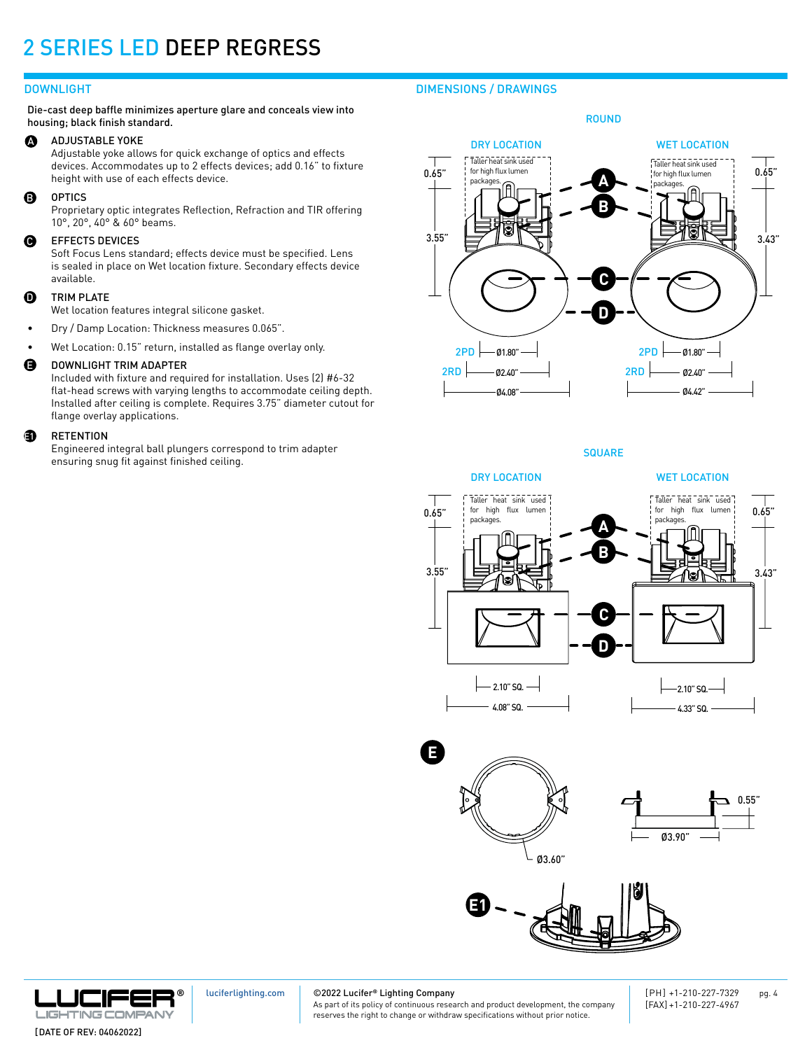Die-cast deep baffle minimizes aperture glare and conceals view into housing; black finish standard.

#### ADJUSTABLE YOKE  $\boldsymbol{\Omega}$

Adjustable yoke allows for quick exchange of optics and effects devices. Accommodates up to 2 effects devices; add 0.16" to fixture height with use of each effects device.

#### OPTICS B

Proprietary optic integrates Reflection, Refraction and TIR offering 10°, 20°, 40° & 60° beams.

### EFFECTS DEVICES Q

Soft Focus Lens standard; effects device must be specified. Lens is sealed in place on Wet location fixture. Secondary effects device available.

#### TRIM PLATE  $\bf{0}$

Wet location features integral silicone gasket.

• Dry / Damp Location: Thickness measures 0.065".

• Wet Location: 0.15" return, installed as flange overlay only.

#### DOWNLIGHT TRIM ADAPTER E

Included with fixture and required for installation. Uses (2) #6-32 flat-head screws with varying lengths to accommodate ceiling depth. Installed after ceiling is complete. Requires 3.75" diameter cutout for flange overlay applications.

### **RETENTION a**

Engineered integral ball plungers correspond to trim adapter ensuring snug fit against finished ceiling.

## DOWNLIGHT DIMENSIONS / DRAWINGS



DRY LOCATION

WET LOCATION



**SQUARE** 









[luciferlighting.com](http://luciferlighting.com/)

©2022 Lucifer**®** Lighting Company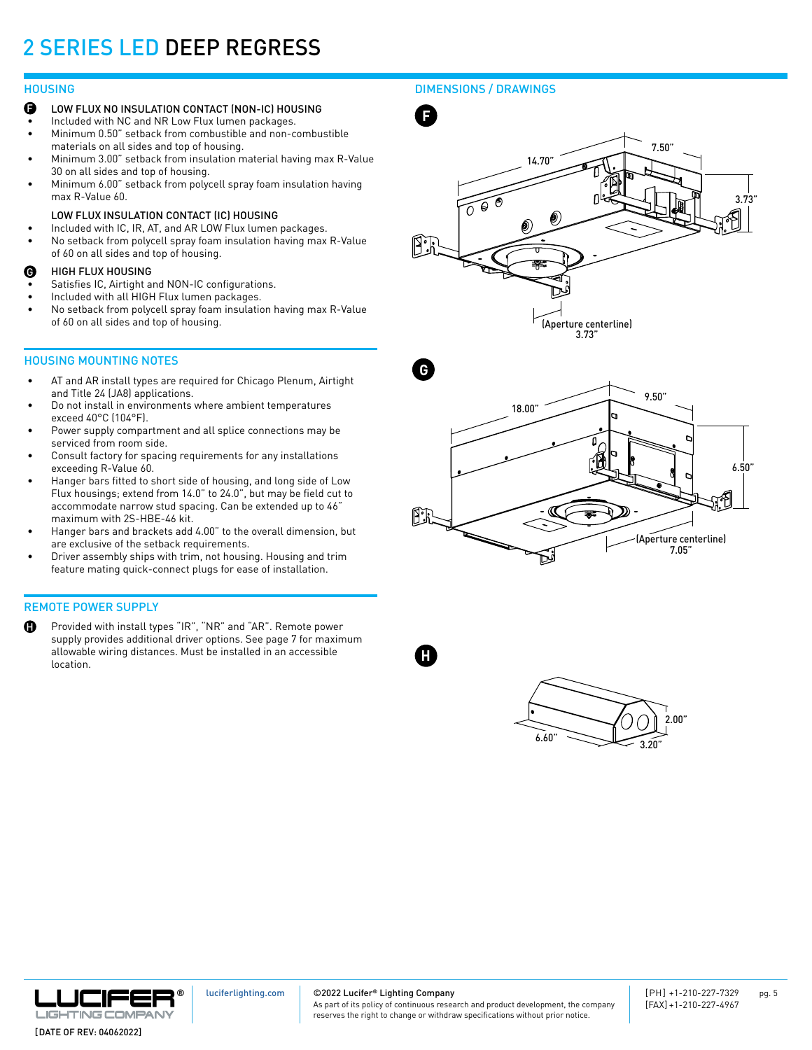### **HOUSING**

- F LOW FLUX NO INSULATION CONTACT (NON-IC) HOUSING
- Included with NC and NR Low Flux lumen packages.
- Minimum 0.50" setback from combustible and non-combustible materials on all sides and top of housing.
- Minimum 3.00" setback from insulation material having max R-Value 30 on all sides and top of housing.
- Minimum 6.00" setback from polycell spray foam insulation having max R-Value 60.

### LOW FLUX INSULATION CONTACT (IC) HOUSING

- Included with IC, IR, AT, and AR LOW Flux lumen packages.
- No setback from polycell spray foam insulation having max R-Value of 60 on all sides and top of housing.

### HIGH FLUX HOUSING G

- Satisfies IC, Airtight and NON-IC configurations.
- Included with all HIGH Flux lumen packages.
- No setback from polycell spray foam insulation having max R-Value of 60 on all sides and top of housing.

### HOUSING MOUNTING NOTES

- AT and AR install types are required for Chicago Plenum, Airtight and Title 24 (JA8) applications.
- Do not install in environments where ambient temperatures exceed 40°C (104°F).
- Power supply compartment and all splice connections may be serviced from room side.
- Consult factory for spacing requirements for any installations exceeding R-Value 60.
- Hanger bars fitted to short side of housing, and long side of Low Flux housings; extend from 14.0" to 24.0", but may be field cut to accommodate narrow stud spacing. Can be extended up to 46" maximum with 2S-HBE-46 kit.
- Hanger bars and brackets add 4.00" to the overall dimension, but are exclusive of the setback requirements.
- Driver assembly ships with trim, not housing. Housing and trim feature mating quick-connect plugs for ease of installation.

### REMOTE POWER SUPPLY

H Provided with install types "IR", "NR" and "AR". Remote power supply provides additional driver options. See page 7 for maximum allowable wiring distances. Must be installed in an accessible location.

### DIMENSIONS / DRAWINGS







**H**





[luciferlighting.com](http://luciferlighting.com/)

©2022 Lucifer**®** Lighting Company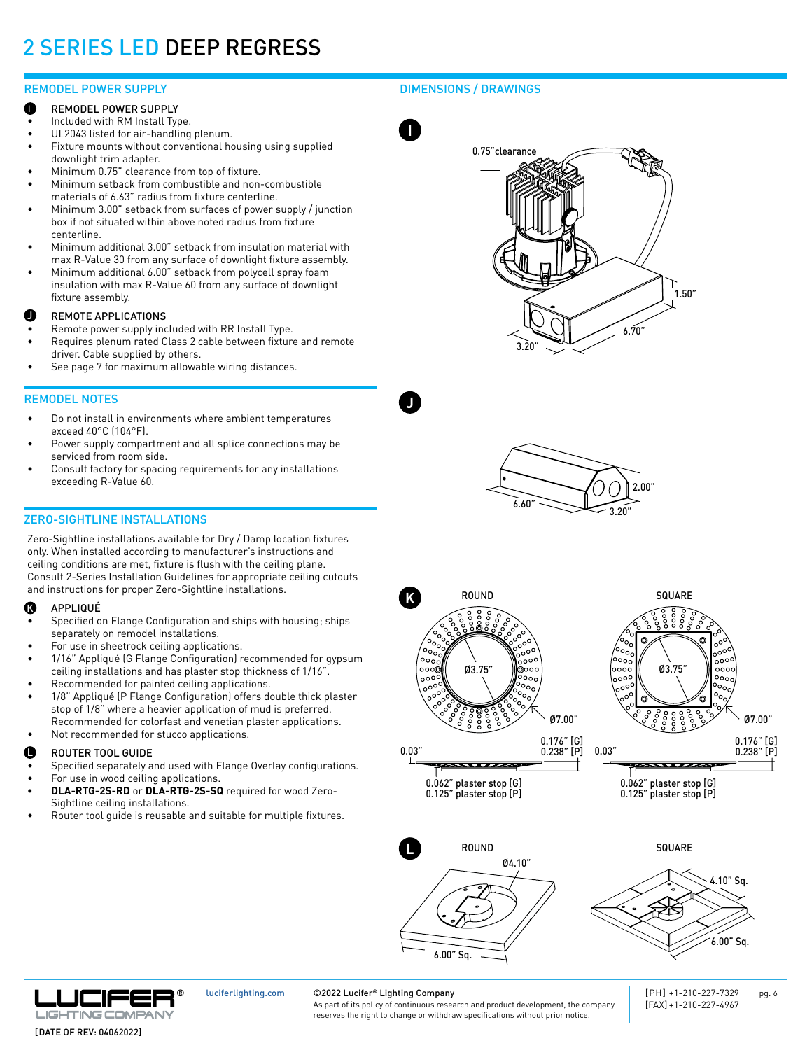### REMODEL POWER SUPPLY

- REMODEL POWER SUPPLY e
- Included with RM Install Type.
- UL2043 listed for air-handling plenum.
- Fixture mounts without conventional housing using supplied downlight trim adapter.
- Minimum 0.75" clearance from top of fixture.
- Minimum setback from combustible and non-combustible materials of 6.63" radius from fixture centerline.
- Minimum 3.00" setback from surfaces of power supply / junction box if not situated within above noted radius from fixture centerline.
- Minimum additional 3.00" setback from insulation material with max R-Value 30 from any surface of downlight fixture assembly.
- Minimum additional 6.00" setback from polycell spray foam insulation with max R-Value 60 from any surface of downlight fixture assembly.

### REMOTE APPLICATIONS J

- Remote power supply included with RR Install Type.
- Requires plenum rated Class 2 cable between fixture and remote driver. Cable supplied by others.
- See page 7 for maximum allowable wiring distances.

### REMODEL NOTES

- Do not install in environments where ambient temperatures exceed 40°C (104°F).
- Power supply compartment and all splice connections may be serviced from room side.
- Consult factory for spacing requirements for any installations exceeding R-Value 60.

### ZERO-SIGHTLINE INSTALLATIONS

Zero-Sightline installations available for Dry / Damp location fixtures only. When installed according to manufacturer's instructions and ceiling conditions are met, fixture is flush with the ceiling plane. Consult 2-Series Installation Guidelines for appropriate ceiling cutouts and instructions for proper Zero-Sightline installations.

#### APPLIQUÉ K

- Specified on Flange Configuration and ships with housing; ships separately on remodel installations.
- For use in sheetrock ceiling applications.
- 1/16" Appliqué (G Flange Configuration) recommended for gypsum ceiling installations and has plaster stop thickness of 1/16".
- Recommended for painted ceiling applications.
- 1/8" Appliqué (P Flange Configuration) offers double thick plaster stop of 1/8" where a heavier application of mud is preferred. Recommended for colorfast and venetian plaster applications.
- Not recommended for stucco applications.

### **D** ROUTER TOOL GUIDE **ROUTER** TOOL GUIDE

- Specified separately and used with Flange Overlay configurations.
- For use in wood ceiling applications.
- **• DLA-RTG-2S-RD** or **DLA-RTG-2S-SQ** required for wood Zero-Sightline ceiling installations.
- Router tool guide is reusable and suitable for multiple fixtures.

### DIMENSIONS / DRAWINGS



**J**







0.176" [G] 0.238" [P] 0.03"  $\overline{\phantom{a}}$ 

0.062" plaster stop [G] 0.125" plaster stop [P]

٥ö ∘∘∘ັ .<br>00° Ø3.75" oo) oood  $\frac{1}{10000}$ ್ನು Ø7.00" 0.176" [G] 0.238" [P] \*\*\*\*\*\*\*

0.062" plaster stop [G] 0.125" plaster stop [P]







[luciferlighting.com](http://luciferlighting.com/)

### ©2022 Lucifer**®** Lighting Company

As part of its policy of continuous research and product development, the company reserves the right to change or withdraw specifications without prior notice.

[PH] +1-210-227-7329 pg. 6 [FAX] +1-210-227-4967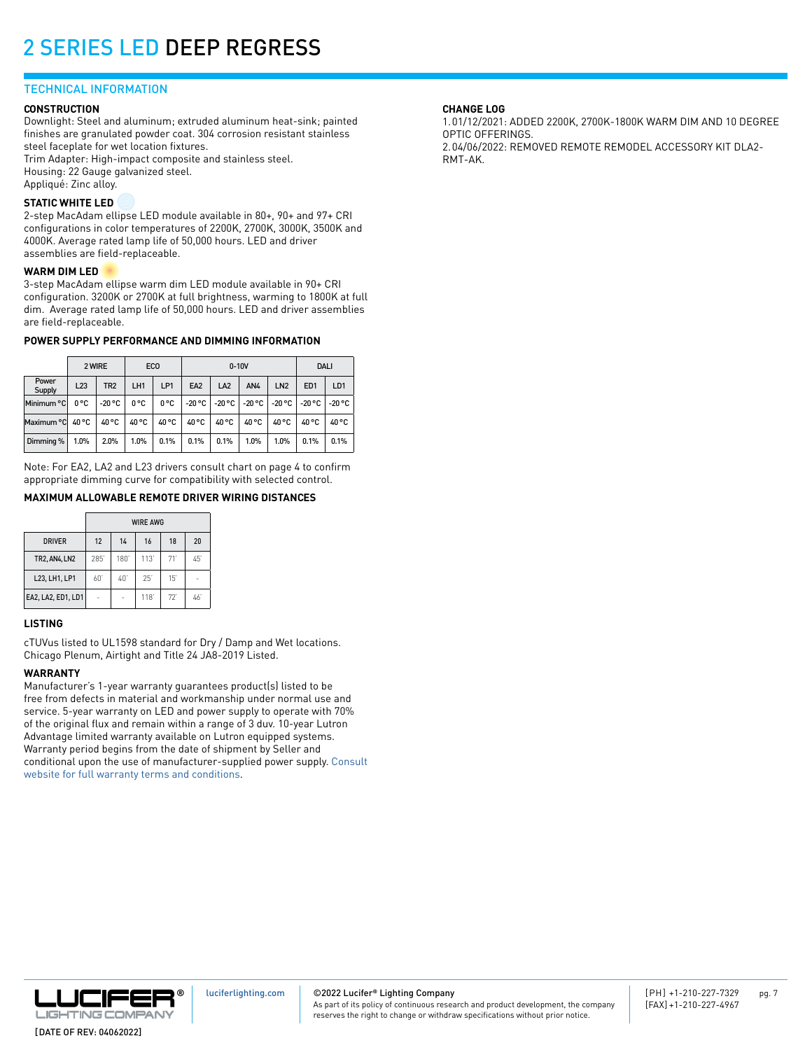### TECHNICAL INFORMATION

### **CONSTRUCTION**

Downlight: Steel and aluminum; extruded aluminum heat-sink; painted finishes are granulated powder coat. 304 corrosion resistant stainless steel faceplate for wet location fixtures.

Trim Adapter: High-impact composite and stainless steel. Housing: 22 Gauge galvanized steel. Appliqué: Zinc alloy.

### **STATIC WHITE LED**

2-step MacAdam ellipse LED module available in 80+, 90+ and 97+ CRI configurations in color temperatures of 2200K, 2700K, 3000K, 3500K and 4000K. Average rated lamp life of 50,000 hours. LED and driver assemblies are field-replaceable.

### **WARM DIM LED**

3-step MacAdam ellipse warm dim LED module available in 90+ CRI configuration. 3200K or 2700K at full brightness, warming to 1800K at full dim. Average rated lamp life of 50,000 hours. LED and driver assemblies are field-replaceable.

### **POWER SUPPLY PERFORMANCE AND DIMMING INFORMATION**

|                 | 2 WIRE |                 | ECO   |       |                 | $0-10V$         | <b>DALI</b> |                 |                 |                 |
|-----------------|--------|-----------------|-------|-------|-----------------|-----------------|-------------|-----------------|-----------------|-----------------|
| Power<br>Supply | L23    | TR <sub>2</sub> | LH1   | LP1   | EA <sub>2</sub> | LA <sub>2</sub> | AN4         | LN <sub>2</sub> | ED <sub>1</sub> | LD <sub>1</sub> |
| Minimum °C      | 0°C    | $-20 °C$        | 0°C   | 0°C   | $-20 °C$        | -20 °C          | $-20 °C$    | -20 °C          | $-20 °C$        | -20 °C          |
| Maximum °C      | 40 °C  | 40 °C           | 40 °C | 40 °C | 40 °C           | 40 °C           | 40 °C       | 40 °C           | 40 °C           | 40 °C           |
| Dimming %       | 1.0%   | 2.0%            | 1.0%  | 0.1%  | 0.1%            | 0.1%            | 1.0%        | 1.0%            | 0.1%            | 0.1%            |

Note: For EA2, LA2 and L23 drivers consult chart on page 4 to confirm appropriate dimming curve for compatibility with selected control.

### **MAXIMUM ALLOWABLE REMOTE DRIVER WIRING DISTANCES**

|                      |     |     | <b>WIRE AWG</b> |     |     |
|----------------------|-----|-----|-----------------|-----|-----|
| <b>DRIVER</b>        | 12  | 14  | 16              | 18  | 20  |
| <b>TR2, AN4, LN2</b> | 285 | 180 | 113'            | 71' | 45  |
| L23, LH1, LP1        | 60' | 40  | 25'             | 15' |     |
| EA2, LA2, ED1, LD1   |     |     | 118             | 72  | 46' |

### **LISTING**

cTUVus listed to UL1598 standard for Dry / Damp and Wet locations. Chicago Plenum, Airtight and Title 24 JA8-2019 Listed.

### **WARRANTY**

Manufacturer's 1-year warranty guarantees product(s) listed to be free from defects in material and workmanship under normal use and service. 5-year warranty on LED and power supply to operate with 70% of the original flux and remain within a range of 3 duv. 10-year Lutron Advantage limited warranty available on Lutron equipped systems. Warranty period begins from the date of shipment by Seller and conditional upon the use of manufacturer-supplied power supply. [Consult](https://luciferlighting.com/Warranty)  [website for full warranty terms and conditions](https://luciferlighting.com/Warranty).

### **CHANGE LOG**

1.01/12/2021: ADDED 2200K, 2700K-1800K WARM DIM AND 10 DEGREE OPTIC OFFERINGS. 2.04/06/2022: REMOVED REMOTE REMODEL ACCESSORY KIT DLA2- RMT-AK.



©2022 Lucifer**®** Lighting Company